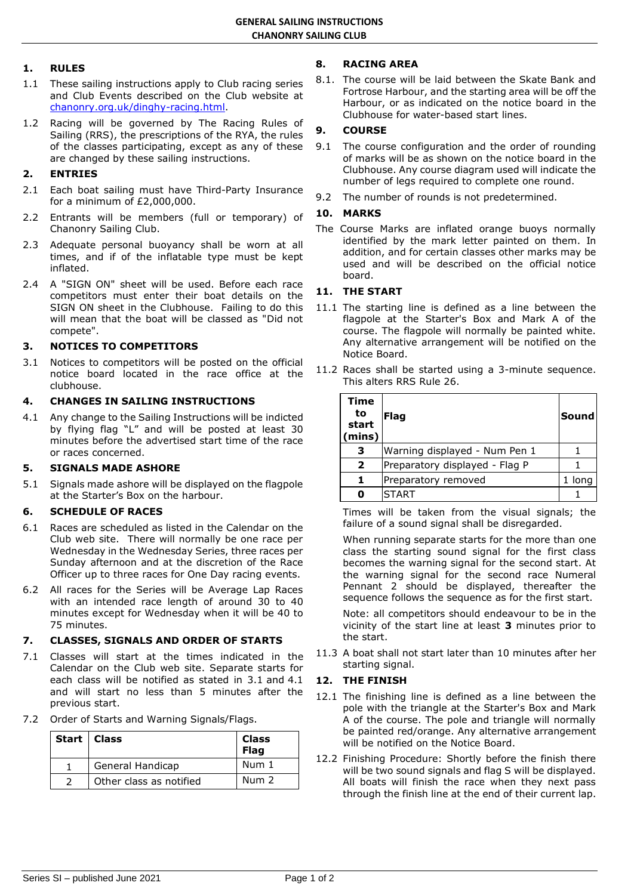# **1. RULES**

- 1.1 These sailing instructions apply to Club racing series and Club Events described on the Club website at [chanonry.org.uk/dinghy-racing.html.](https://www.chanonry.org.uk/dinghy-racing.html)
- 1.2 Racing will be governed by The Racing Rules of Sailing (RRS), the prescriptions of the RYA, the rules of the classes participating, except as any of these are changed by these sailing instructions.

# **2. ENTRIES**

- 2.1 Each boat sailing must have Third-Party Insurance for a minimum of £2,000,000.
- 2.2 Entrants will be members (full or temporary) of Chanonry Sailing Club.
- 2.3 Adequate personal buoyancy shall be worn at all times, and if of the inflatable type must be kept inflated.
- 2.4 A "SIGN ON" sheet will be used. Before each race competitors must enter their boat details on the SIGN ON sheet in the Clubhouse. Failing to do this will mean that the boat will be classed as "Did not compete".

## **3. NOTICES TO COMPETITORS**

3.1 Notices to competitors will be posted on the official notice board located in the race office at the clubhouse.

## **4. CHANGES IN SAILING INSTRUCTIONS**

4.1 Any change to the Sailing Instructions will be indicted by flying flag "L" and will be posted at least 30 minutes before the advertised start time of the race or races concerned.

# **5. SIGNALS MADE ASHORE**

5.1 Signals made ashore will be displayed on the flagpole at the Starter's Box on the harbour.

## **6. SCHEDULE OF RACES**

- 6.1 Races are scheduled as listed in the Calendar on the Club web site. There will normally be one race per Wednesday in the Wednesday Series, three races per Sunday afternoon and at the discretion of the Race Officer up to three races for One Day racing events.
- 6.2 All races for the Series will be Average Lap Races with an intended race length of around 30 to 40 minutes except for Wednesday when it will be 40 to 75 minutes.

# **7. CLASSES, SIGNALS AND ORDER OF STARTS**

- 7.1 Classes will start at the times indicated in the Calendar on the Club web site. Separate starts for each class will be notified as stated in 3.1 and 4.1 and will start no less than 5 minutes after the previous start.
- 7.2 Order of Starts and Warning Signals/Flags.

| Start   Class           | <b>Class</b><br><b>Flag</b> |
|-------------------------|-----------------------------|
| General Handicap        | Num 1                       |
| Other class as notified | Num $2$                     |

# **8. RACING AREA**

8.1. The course will be laid between the Skate Bank and Fortrose Harbour, and the starting area will be off the Harbour, or as indicated on the notice board in the Clubhouse for water-based start lines.

# **9. COURSE**

- 9.1 The course configuration and the order of rounding of marks will be as shown on the notice board in the Clubhouse. Any course diagram used will indicate the number of legs required to complete one round.
- 9.2 The number of rounds is not predetermined.

### **10. MARKS**

The Course Marks are inflated orange buoys normally identified by the mark letter painted on them. In addition, and for certain classes other marks may be used and will be described on the official notice board.

## **11. THE START**

- 11.1 The starting line is defined as a line between the flagpole at the Starter's Box and Mark A of the course. The flagpole will normally be painted white. Any alternative arrangement will be notified on the Notice Board.
- 11.2 Races shall be started using a 3-minute sequence. This alters RRS Rule 26.

| <b>Time</b><br>to<br>start<br>(mins) | Flag                           | Sound  |
|--------------------------------------|--------------------------------|--------|
| з                                    | Warning displayed - Num Pen 1  |        |
| $\overline{2}$                       | Preparatory displayed - Flag P |        |
| 1                                    | Preparatory removed            | 1 long |
| 0                                    | <b>START</b>                   |        |

Times will be taken from the visual signals; the failure of a sound signal shall be disregarded.

When running separate starts for the more than one class the starting sound signal for the first class becomes the warning signal for the second start. At the warning signal for the second race Numeral Pennant 2 should be displayed, thereafter the sequence follows the sequence as for the first start.

Note: all competitors should endeavour to be in the vicinity of the start line at least **3** minutes prior to the start.

11.3 A boat shall not start later than 10 minutes after her starting signal.

# **12. THE FINISH**

- 12.1 The finishing line is defined as a line between the pole with the triangle at the Starter's Box and Mark A of the course. The pole and triangle will normally be painted red/orange. Any alternative arrangement will be notified on the Notice Board.
- 12.2 Finishing Procedure: Shortly before the finish there will be two sound signals and flag S will be displayed. All boats will finish the race when they next pass through the finish line at the end of their current lap.